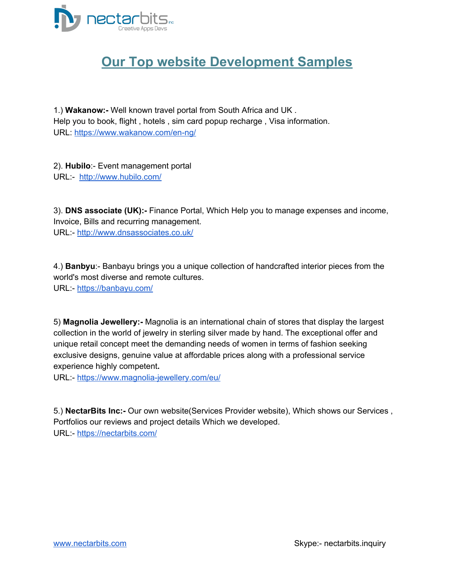

### **Our Top website Development Samples**

1.) **Wakanow:-** Well known travel portal from South Africa and UK . Help you to book, flight , hotels , sim card popup recharge , Visa information. URL: <https://www.wakanow.com/en-ng/>

2). **Hubilo**:- Event management portal URL:- <http://www.hubilo.com/>

3). **DNS associate (UK):-** Finance Portal, Which Help you to manage expenses and income, Invoice, Bills and recurring management. URL:- <http://www.dnsassociates.co.uk/>

4.) **Banbyu**:- Banbayu brings you a unique collection of handcrafted interior pieces from the world's most diverse and remote cultures. URL:- <https://banbayu.com/>

5) **Magnolia Jewellery:-** Magnolia is an international chain of stores that display the largest collection in the world of jewelry in sterling silver made by hand. The exceptional offer and unique retail concept meet the demanding needs of women in terms of fashion seeking exclusive designs, genuine value at affordable prices along with a professional service experience highly competent**.**

URL:- <https://www.magnolia-jewellery.com/eu/>

5.) **NectarBits Inc:-** Our own website(Services Provider website), Which shows our Services , Portfolios our reviews and project details Which we developed. URL:- <https://nectarbits.com/>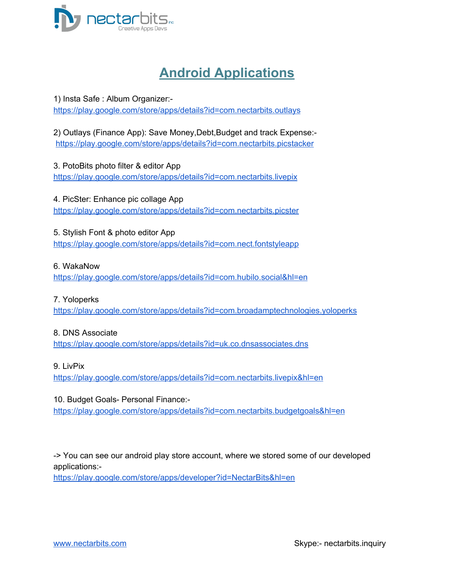

# **Android Applications**

1) Insta Safe : Album Organizer: <https://play.google.com/store/apps/details?id=com.nectarbits.outlays>

2) Outlays (Finance App): Save Money,Debt,Budget and track Expense: <https://play.google.com/store/apps/details?id=com.nectarbits.picstacker>

3. PotoBits photo filter & editor App <https://play.google.com/store/apps/details?id=com.nectarbits.livepix>

4. PicSter: Enhance pic collage App <https://play.google.com/store/apps/details?id=com.nectarbits.picster>

5. Stylish Font & photo editor App <https://play.google.com/store/apps/details?id=com.nect.fontstyleapp>

#### 6. WakaNow

[https://play.google.com/store/apps/details?id=com.hubilo.social&hl=en](http://bit.ly/2qu3blP)

#### 7. Yoloperks

<https://play.google.com/store/apps/details?id=com.broadamptechnologies.yoloperks>

#### 8. DNS Associate

<https://play.google.com/store/apps/details?id=uk.co.dnsassociates.dns>

#### 9. LivPix

<https://play.google.com/store/apps/details?id=com.nectarbits.livepix&hl=en>

#### 10. Budget Goals- Personal Finance:-

<https://play.google.com/store/apps/details?id=com.nectarbits.budgetgoals&hl=en>

-> You can see our android play store account, where we stored some of our developed applications:-

[https://play.google.com/store/apps/developer?id=NectarBits&hl=en](https://www.peopleperhour.com/web/aHR0cHM6Ly9wbGF5Lmdvb2dsZS5jb20vc3RvcmUvYXBwcy9kZXZlbG9wZXI%2FaWQ9TmVjdGFyQml0cyZhbXA7aGw9ZW4%3D)